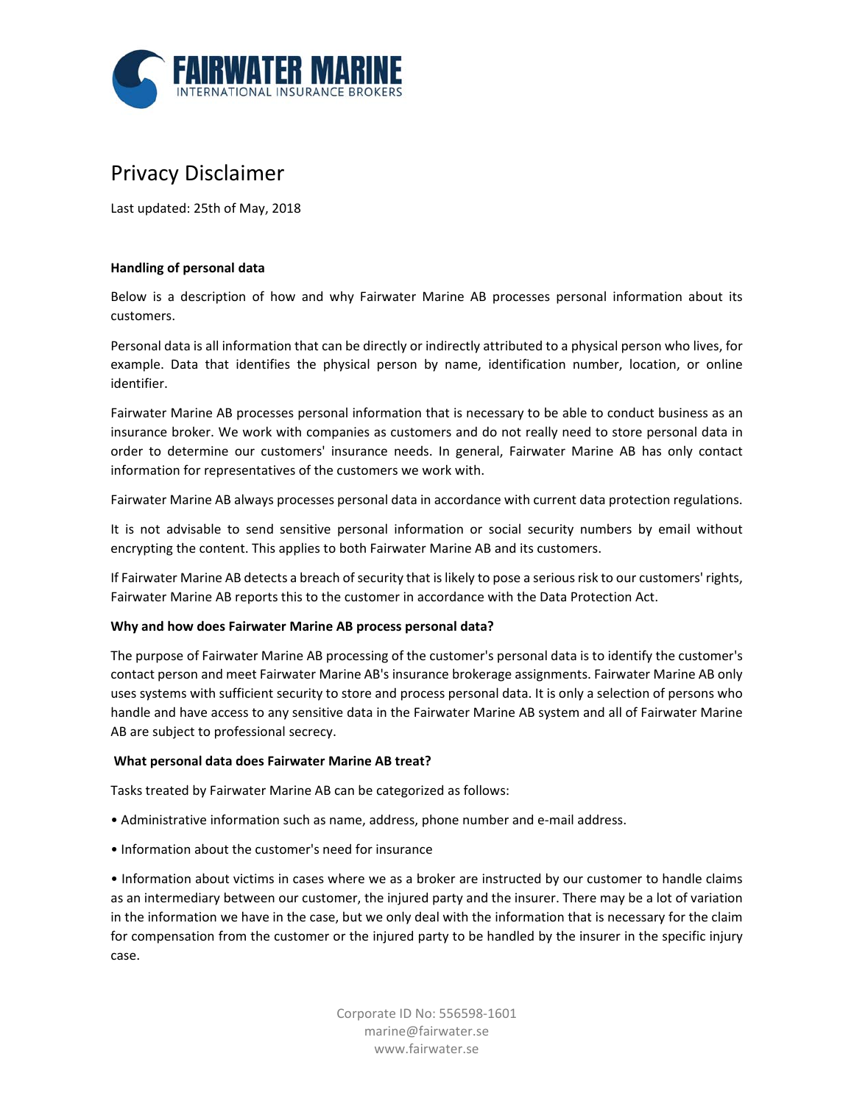

# Privacy Disclaimer

Last updated: 25th of May, 2018

# **Handling of personal data**

Below is a description of how and why Fairwater Marine AB processes personal information about its customers.

Personal data is all information that can be directly or indirectly attributed to a physical person who lives, for example. Data that identifies the physical person by name, identification number, location, or online identifier.

Fairwater Marine AB processes personal information that is necessary to be able to conduct business as an insurance broker. We work with companies as customers and do not really need to store personal data in order to determine our customers' insurance needs. In general, Fairwater Marine AB has only contact information for representatives of the customers we work with.

Fairwater Marine AB always processes personal data in accordance with current data protection regulations.

It is not advisable to send sensitive personal information or social security numbers by email without encrypting the content. This applies to both Fairwater Marine AB and its customers.

If Fairwater Marine AB detects a breach of security that is likely to pose a serious risk to our customers' rights, Fairwater Marine AB reports this to the customer in accordance with the Data Protection Act.

## **Why and how does Fairwater Marine AB process personal data?**

The purpose of Fairwater Marine AB processing of the customer's personal data is to identify the customer's contact person and meet Fairwater Marine AB's insurance brokerage assignments. Fairwater Marine AB only uses systems with sufficient security to store and process personal data. It is only a selection of persons who handle and have access to any sensitive data in the Fairwater Marine AB system and all of Fairwater Marine AB are subject to professional secrecy.

## **What personal data does Fairwater Marine AB treat?**

Tasks treated by Fairwater Marine AB can be categorized as follows:

- Administrative information such as name, address, phone number and e‐mail address.
- Information about the customer's need for insurance

• Information about victims in cases where we as a broker are instructed by our customer to handle claims as an intermediary between our customer, the injured party and the insurer. There may be a lot of variation in the information we have in the case, but we only deal with the information that is necessary for the claim for compensation from the customer or the injured party to be handled by the insurer in the specific injury case.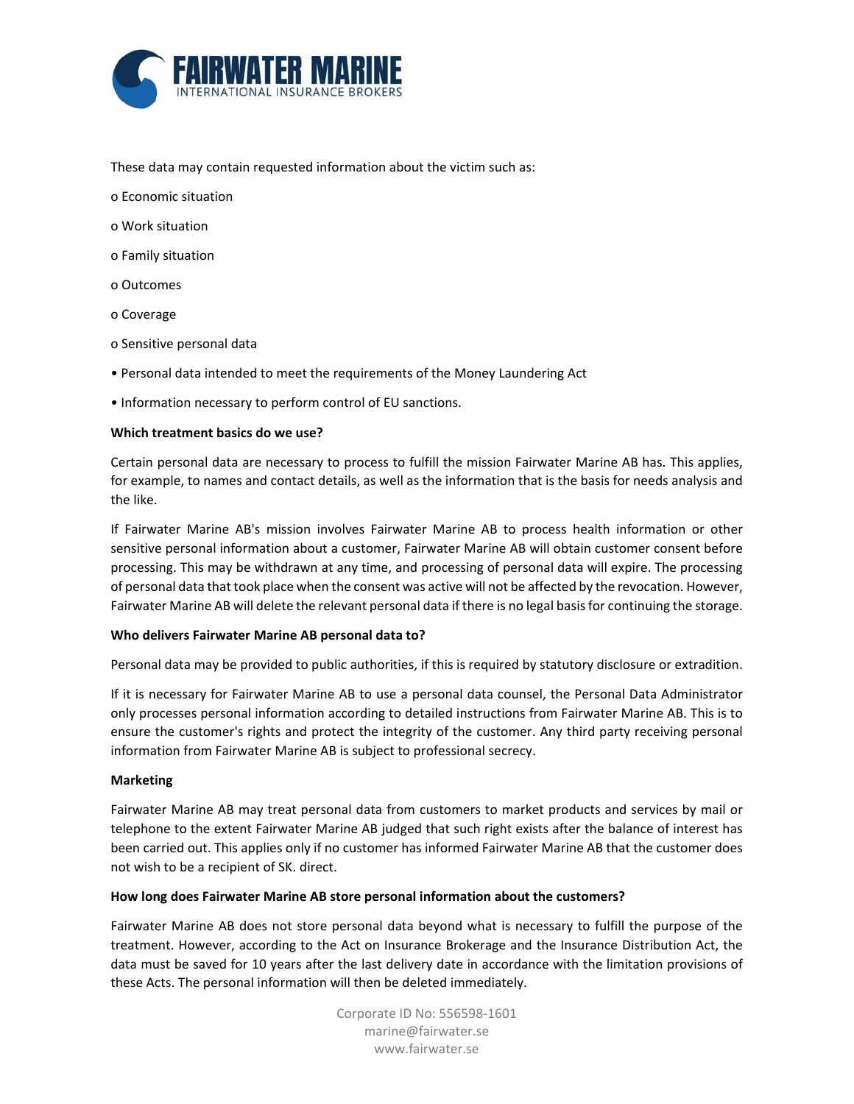

These data may contain requested information about the victim such as:

- o Economic situation
- o Work situation
- o Family situation
- o Outcomes
- o Coverage
- o Sensitive personal data
- Personal data intended to meet the requirements of the Money Laundering Act
- Information necessary to perform control of EU sanctions.

## **Which treatment basics do we use?**

Certain personal data are necessary to process to fulfill the mission Fairwater Marine AB has. This applies, for example, to names and contact details, as well as the information that is the basis for needs analysis and the like.

If Fairwater Marine AB's mission involves Fairwater Marine AB to process health information or other sensitive personal information about a customer, Fairwater Marine AB will obtain customer consent before processing. This may be withdrawn at any time, and processing of personal data will expire. The processing of personal data that took place when the consent was active will not be affected by the revocation. However, Fairwater Marine AB will delete the relevant personal data if there is no legal basisfor continuing the storage.

## **Who delivers Fairwater Marine AB personal data to?**

Personal data may be provided to public authorities, if this is required by statutory disclosure or extradition.

If it is necessary for Fairwater Marine AB to use a personal data counsel, the Personal Data Administrator only processes personal information according to detailed instructions from Fairwater Marine AB. This is to ensure the customer's rights and protect the integrity of the customer. Any third party receiving personal information from Fairwater Marine AB is subject to professional secrecy.

## **Marketing**

Fairwater Marine AB may treat personal data from customers to market products and services by mail or telephone to the extent Fairwater Marine AB judged that such right exists after the balance of interest has been carried out. This applies only if no customer has informed Fairwater Marine AB that the customer does not wish to be a recipient of SK. direct.

## **How long does Fairwater Marine AB store personal information about the customers?**

Fairwater Marine AB does not store personal data beyond what is necessary to fulfill the purpose of the treatment. However, according to the Act on Insurance Brokerage and the Insurance Distribution Act, the data must be saved for 10 years after the last delivery date in accordance with the limitation provisions of these Acts. The personal information will then be deleted immediately.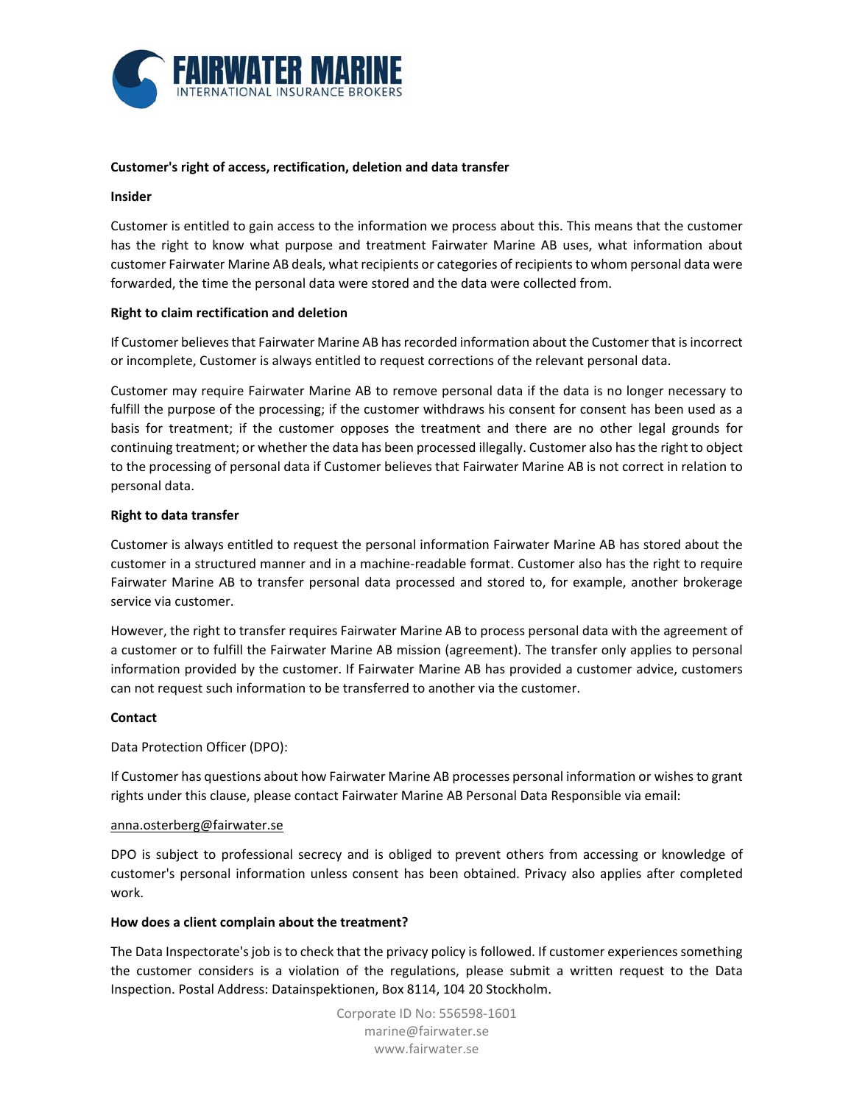

## **Customer's right of access, rectification, deletion and data transfer**

### **Insider**

Customer is entitled to gain access to the information we process about this. This means that the customer has the right to know what purpose and treatment Fairwater Marine AB uses, what information about customer Fairwater Marine AB deals, what recipients or categories of recipientsto whom personal data were forwarded, the time the personal data were stored and the data were collected from.

## **Right to claim rectification and deletion**

If Customer believes that Fairwater Marine AB has recorded information about the Customer that is incorrect or incomplete, Customer is always entitled to request corrections of the relevant personal data.

Customer may require Fairwater Marine AB to remove personal data if the data is no longer necessary to fulfill the purpose of the processing; if the customer withdraws his consent for consent has been used as a basis for treatment; if the customer opposes the treatment and there are no other legal grounds for continuing treatment; or whether the data has been processed illegally. Customer also hasthe right to object to the processing of personal data if Customer believes that Fairwater Marine AB is not correct in relation to personal data.

## **Right to data transfer**

Customer is always entitled to request the personal information Fairwater Marine AB has stored about the customer in a structured manner and in a machine‐readable format. Customer also has the right to require Fairwater Marine AB to transfer personal data processed and stored to, for example, another brokerage service via customer.

However, the right to transfer requires Fairwater Marine AB to process personal data with the agreement of a customer or to fulfill the Fairwater Marine AB mission (agreement). The transfer only applies to personal information provided by the customer. If Fairwater Marine AB has provided a customer advice, customers can not request such information to be transferred to another via the customer.

### **Contact**

Data Protection Officer (DPO):

If Customer has questions about how Fairwater Marine AB processes personal information or wishesto grant rights under this clause, please contact Fairwater Marine AB Personal Data Responsible via email:

### anna.osterberg@fairwater.se

DPO is subject to professional secrecy and is obliged to prevent others from accessing or knowledge of customer's personal information unless consent has been obtained. Privacy also applies after completed work.

## **How does a client complain about the treatment?**

The Data Inspectorate'sjob is to check that the privacy policy is followed. If customer experiences something the customer considers is a violation of the regulations, please submit a written request to the Data Inspection. Postal Address: Datainspektionen, Box 8114, 104 20 Stockholm.